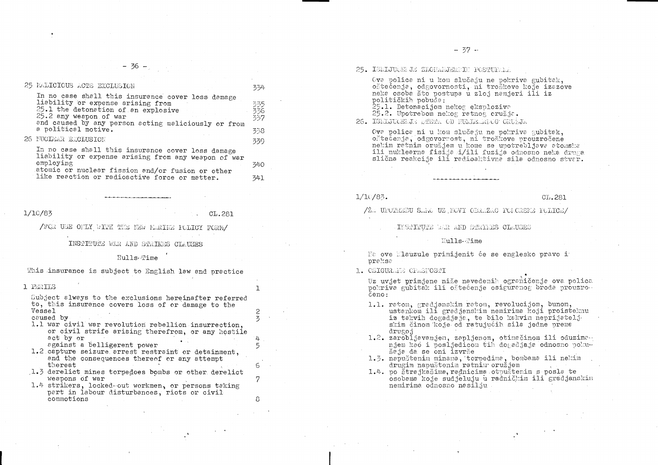$-36 -$ 

| 25 FALICIOUS ACTS EXCLUSION                                                                                                                                                                                                           | 334                       |
|---------------------------------------------------------------------------------------------------------------------------------------------------------------------------------------------------------------------------------------|---------------------------|
| In no case shall this insurance cover loss damage<br>liability or expense arising from<br>25.1 the detonation of an explosive<br>25.2 any weapon of war<br>and caused by any person acting maliciously or from<br>a political motive. | 335.<br>336<br>337<br>338 |
| 26 NUCLEAR EXCLUSION                                                                                                                                                                                                                  | 339.                      |
| In no case shall this insurance cover loss damage<br>liability or expense arising from any weapon of war<br>employing                                                                                                                 | 340                       |

atomic or nuclear fission and/or fusion or other like reaction or radioactive force or matter.

## $1/10/83$

CL.281

341

 $\mathbf{1}$ 

 $\overline{c}$ 

 $\overline{5}$ 

 $5\overline{)}$ 

 $\sigma$ 

 $\overline{7}$ 

8

/FOR USE ORLY WITH THE NEW MERINE POLICY FORM/

INSTITUTE WAR AND STRIKES CLAUSES

# Hulls-Time

This insurance is subject to English lew and practice

### 1 PERILS

Subject always to the exclusions hereinafter referred to, this insurance covers loss of or damage to the Vessel caused by

- 1.1 war civil war revolution rebellion insurrection, or civil strife arising therefrom, or any hostile act by or
	- against a belligerent power
- 1.2 capture seizure arrest restraint or detainment, and the consequences thereof or any attempt thereat
- 1.3 derelict mines torpedoes bombs or other derelict weapons of war
- 1.4 strikers, locked-out workmen, or persons taking part in labour disturbances, riots or civil commotions

25. ISKLJUČENJE ZLOHAMJERNIH POSTUPARA

Ova polica ni u kom slučaju ne pokriva gubitak, oštečenje, odgovornosti, ni troškove koje izazove neka osoba što postupa u zloj namjeri ili iz političkih pobuda:

25.1. Detonacijom nekog eksploziva 25.2. Upotrebom nekog ratnog cružja. 26. ISKLJUOENJE STETA OD NUATELINIOG ORUŽJA

Ova polica ni u kom slučaju ne pokriva gubitak, oštećenja, odgovornost, ni troškove prouzročene nekim ratnim oružjem u kome se upotrebljava atomska ili nuklearna fisija i/ili fuzija odnosno neka druga slična reakcija ili radioaktivna sila odnosno stvar.

 $1/10/83$ .

/2. UPOTREEU SARO UZ NOVI OERAZAC PORCREEK FOLICE/

INSTITUTE WAR AND STRIKES CLAUSES

#### Hulls-Time

Na ove Mlauzule primijenit će se englesko pravo i praksa

1. OSIGURANE OPASMOSTI

Uz uvjet primjene niže navedenih ograničenja ova polica pokriva gubitak ili oštećenje osiguranog broda prouzro. čeno:

- 1.1. ratom, gradjanskim ratom, revolucijom, bunom, ustankom ili gradjanskim nemirima koji proisteknu iz takvih događjaja, te bilo kakvim neprijatelj. skim činom koje od ratujućih sila jedne preme drugoj
- 1.2. zarobljavanjem, zapljenom, otimačinom ili oduzima njem kao i posljedicom tih događjaja odnosno pokušaja da se oni izvrše
- 1.3. napuštenim minama, torpedima, bombama ili nekim drugim napuštenim ratnim oružjem
- 1.4. po štrajkašima, radnicima otpuštenim s posla te osobama koje sudjeluju u radničkim ili gradjanskim nemirima odnosno nasilju

CL.281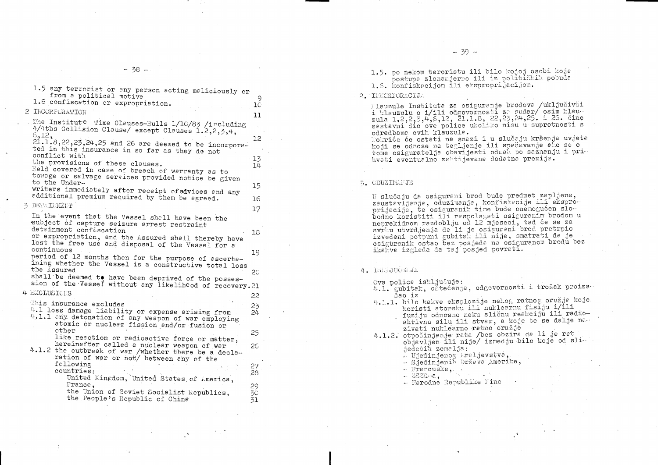| 1.5 any terrorist or any person acting maliciously or<br>from a political motive                                                                                                  |                     |
|-----------------------------------------------------------------------------------------------------------------------------------------------------------------------------------|---------------------|
| 1.6 confiscation or expropriation.                                                                                                                                                | 9<br>1 <sup>C</sup> |
| 2 INCORPORATION                                                                                                                                                                   | 11                  |
| The Institute Time Clauses-Hulls 1/10/83 /including<br>4/4ths Collision Clause/ except Clauses 1.2,2,3,4,<br>6,12,                                                                | 12                  |
| $21.1.8, 22, 23, 24, 25$ and 26 are deemed to be incorpora-<br>ted in this insurance in so far as they do not<br>conflict with                                                    |                     |
| the provisions of these clauses.<br>Held covered in case of breach of warranty as to<br>towage or salvage services provided notice be given<br>to the Under-                      | 13<br>14            |
| writers immediately after receipt of advices and any<br>additional premium required by them be agreed.                                                                            | 15                  |
| 3 DETAINENT                                                                                                                                                                       | 16<br>17            |
| In the event that the Vessel shall have been the<br>subject of capture seizure arrest restraint                                                                                   |                     |
| detainment confiscation<br>or expropriation, and the Assured shall thereby have<br>lost the free use and disposal of the Vessel for a                                             | 18                  |
| continuous<br>period of 12 months then for the purpose of ascerta-                                                                                                                | 19                  |
| ining whether the Vessel is a constructive total loss<br>the Assured                                                                                                              | 20                  |
| shall be deemed to have been deprived of the posses-<br>sion of the Vessel without any likelihood of recovery. 21                                                                 |                     |
| 4 EXCLUSIONS                                                                                                                                                                      | 22                  |
| This insurance excludes<br>4.1 loss damage liability or expense arising from<br>4.1.1 any detonation of any weapon of war employing<br>atomic or nuclear fission and/or fusion or | 23<br>$24 -$        |
| other<br>like reaction or radioactive force or matter,                                                                                                                            | 25                  |
| hereinafter called a nuclear weapon of war<br>4.1.2 the outbreak of war /whether there be a decla-<br>ration of war or not/ between any of the                                    | 26                  |
| following<br>countries:                                                                                                                                                           | 27<br>28            |
| United Kingdom, United States of America,<br>France,                                                                                                                              | 29                  |
| the Union of Soviet Socialist Republics,<br>the People's Republic of China                                                                                                        | 30<br>スフ            |

 $- 39 -$ 

1.5. po nekom teroristu ili bilo kojoj osobi koja postupa zlonamjerno ili iz političkih pobuda 1.6. konfiskacijom ili eksproprijacijom.

2. INKORPORACIJA

Elauzule Instituta za osiguranje brodova /uključivši i klauzulu o i/ili odgovornosti za sudar/osim klau-<br>zula 1.2,2,5,4,6,12, 21.1.8, 22,23,24,25. i 26. čine sastavni dio ove police ukoliko nisu u suprotnosti s odredbama ovih klauzula. Pokriće će ostati na snazi i u slučaju kršenja uvjeta koji se odnose na tegljenje ili spašavanje ako se o tome osiguratelja obavijesti odmah po saznanju i prihvati eventualno zahtijevana dodatna premija.

## 5. CDUZIMANJE

U slučaju da osigurani brod bude predmet zapljene, zaustavljanja, oduzimanja, konfiskacije ili eksproprijecije, te osiguranik time bude onemogućen slobodno koristiti ili raspolagati osiguranim brodom u neprekidnom razdoblju od 12 mjeseci, tad će se za svrhu utvrdjenja da li je osigureni brod pretrpio izveđeni potpuni gubital ili nije, smatrati da je osiguranik ostao bez posjeda na osiguranom brodu bez ikaliva izgleda da taj posjed povrati.

## 4. ISLLJUOSIJA

Ova polica isključuje: 4.1. gubitak, oštećenja, odgovornosti i trošak proiza. šao iz

- 4.1.1. bilo kakve eksplozije nekog ratnog oružja koje koristi atomsku ili nuklearnu fisiju i/ili
	- aktivnu silu ili stvar, a koje će se dalje na .. zivati nuklearno ratno oružje
- 4.1.2. otpočinjanje rata /bez obzira da li je rat objavljen ili nije/ izmedju bilo koje od sli. jedećih zemalja:
	- . Ujedinjenog Kraljevstva,
	- $-$  Siedinienih Država Amerike,
	- $\therefore$  Francuske,  $\therefore$
	- $SSSR a$ ,
	- Narodne Republike Mine

fuziju odnosno neku sličnu reakciju ili radio-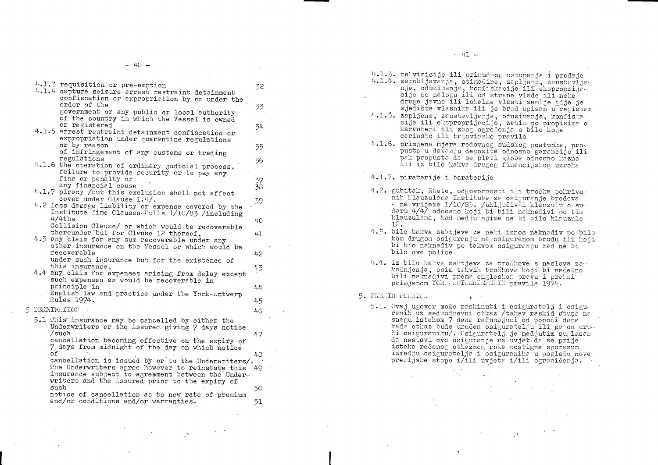$-40 -$ 

4.1.3 requisition or pre-emption

- 4.1.4 capture seizure arrest restraint detainment confiscation or expropriation by or under the order of the government or any public or local authority of the country in which the Vessel is owned
- or registered 4.1.5 arrest restraint detainment confiscation or
	- expropriation under quarantine regulations or by reason. of infringement of any customs or trading
- regulations 4.1.6 the operation of ordinary judicial process,
- failure to provide security or to pay any fine or penalty or any financial cause
- 4.1.7 piracy /but this exclusion shall not affect cover under Clause 1.4/.
- 4.2 loss damage liability or expense covered by the Institute Time Clauses Tulls 1/10/83 /including  $4/4$ ths Collision Clause/ or which would be recoverable

thereunder but for Clause 12 thereof,

- 4.3 any claim for any sum recoverable under any other insurance on the Vessel or which would be recoverable under such insurance but for the existence of this insurance.
- 4.4 any claim for expenses arising from delay except such expenses as would be recoverable in principle in
	- English law and practice under the York-Antwerp Rules 1974.
- 5 TERMINATION
	- 5.1 This insurance may be cancelled by either the Underwriters or the Assured giving 7 days notice /such

cancellation becoming effective on the expiry of 7 days from midnight of the day on which notice оf

cancellation is issued by or to the Underwriters/. The Underwriters agree however to reinstate this 49 insurance subject to agreement between the Underwriters and the Assured prior to the expiry of such 50

notice of cancellation as to new rate of premium and/or conditions and/or warranties. 51

-32

-33

34

35

36

37

 $38$ 

39

 $40<sup>°</sup>$ 

41

42

43

 $44$ 

45

46

47

48

- 4.1.3. rebvizicije ili prinudnog ustupanja i prodaje 4.1.4. zarobljavanja, otimačine, zapljene, zaustavljanja, oduzimanja, konfiskacije ili eksproprija. cije po nalogu ili od strane vlade ili neke
- sjedište vlasnika ili je brod upisan u registar 4.1.5. zapljene, zaustavljanja, oduzimanja, konfiskacije ili eksproprijecije, zetim po propisima o karanteni ili zbog ogrešenja o bilo koje carinsko ili trgovinsko pravilo
- 4.1.6. primjene mjera redovnog sudskog postupka, propusta u davanju depozita odnosno garancije ili pak propusta da se plati globa odnosno kazna

4.1.7. piraterije i baraterije

- 4.2. gubitak, štete, odgovornosti ili troška pokrive. nih Klauzulama Instituta za osiguranje brodova - na vrijeme 1/10/83. /uključivši klauzulu o sudaru 4/4/ odnosno koji bi bili naknadivi po tim klauzulama, kad medju njima ne bi bilo klauzule 12.
- 4.3. bilo kakva zahtjeva za neki iznos naknadiv po bilo kom drugom osiguranju na osiguranom brodu ili koji bi bio naknadiv po takvom osiguranju kad ne bi bilo ove police
- 4.4. iz bilo kakva zahtjeva za troškove s naslova za . kašnjenja, osim takvih troškova koji bi načelno bili naknadivi prema engleskom pravu i praksi primjenom YORK ANTWERFELSKIN pravila 1974.

5. PREMID POIRICA

5.1. Ovaj ugovor može raskinuti i osiguratelj i osiguranik uz sedmodnevni otkaz /takav raskid stupa na shagu istekom 7 dana računajući od ponoći dana kada othaz bude uručen osiguratelju ili ga on uruči osiguraniku/. Osiguratelj je medjutim suglasan da nastavi ovo osiguranje uz uvjet da se prije isteka rečenog otkaznog roka postigne sporazum izmedju osiguratelja i osiguranika u pogledu nove premijske stope i/ili uvjeta i/ili ograničenja.

druge javne ili lokalne vlasti zemlje gdje je

ili iz bilo kakva drugog financijskog uzroka